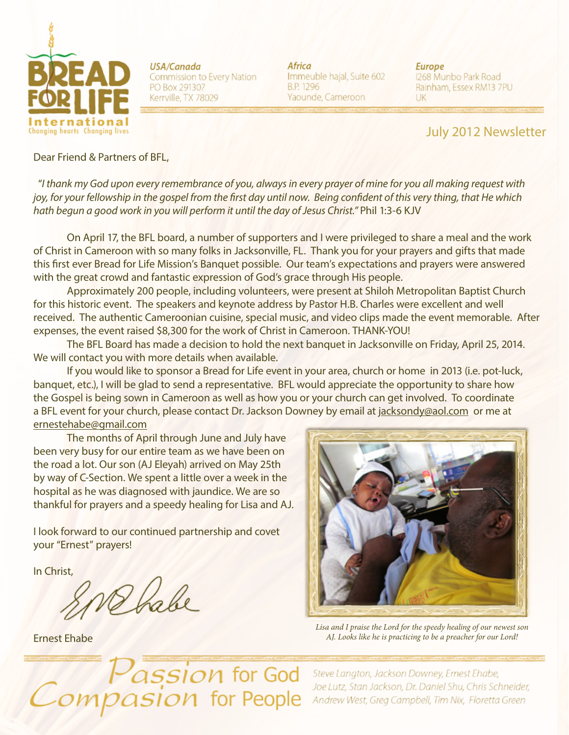

USA/Canada Commission to Every Nation PO Box 291307 Kerrville, TX 78029

Africa Immeuble hajal, Suite 602 B.P. 1296 Yaounde, Cameroon

**Europe** 1268 Munbo Park Road Rainham, Essex RM13 7PU UK

## July 2012 Newsletter

Dear Friend & Partners of BFL,

 "*I thank my God upon every remembrance of you, always in every prayer of mine for you all making request with joy, for your fellowship in the gospel from the first day until now. Being confident of this very thing, that He which hath begun a good work in you will perform it until the day of Jesus Christ."* Phil 1:3-6 KJV

On April 17, the BFL board, a number of supporters and I were privileged to share a meal and the work of Christ in Cameroon with so many folks in Jacksonville, FL. Thank you for your prayers and gifts that made this first ever Bread for Life Mission's Banquet possible. Our team's expectations and prayers were answered with the great crowd and fantastic expression of God's grace through His people.

Approximately 200 people, including volunteers, were present at Shiloh Metropolitan Baptist Church for this historic event. The speakers and keynote address by Pastor H.B. Charles were excellent and well received. The authentic Cameroonian cuisine, special music, and video clips made the event memorable. After expenses, the event raised \$8,300 for the work of Christ in Cameroon. THANK-YOU!

The BFL Board has made a decision to hold the next banquet in Jacksonville on Friday, April 25, 2014. We will contact you with more details when available.

If you would like to sponsor a Bread for Life event in your area, church or home in 2013 (i.e. pot-luck, banquet, etc.), I will be glad to send a representative. BFL would appreciate the opportunity to share how the Gospel is being sown in Cameroon as well as how you or your church can get involved. To coordinate a BFL event for your church, please contact Dr. Jackson Downey by email at jacksondy@aol.com or me at ernestehabe@gmail.com

The months of April through June and July have been very busy for our entire team as we have been on the road a lot. Our son (AJ Eleyah) arrived on May 25th by way of C-Section. We spent a little over a week in the hospital as he was diagnosed with jaundice. We are so thankful for prayers and a speedy healing for Lisa and AJ.

I look forward to our continued partnership and covet your "Ernest" prayers!

In Christ,

Ernest Ehabe



*Lisa and I praise the Lord for the speedy healing of our newest son AJ. Looks like he is practicing to be a preacher for our Lord!*

*Assion for God*<br>*Asion for People* 

Steve Langton, Jackson Downey, Ernest Ehabe, Joe Lutz, Stan Jackson, Dr. Daniel Shu, Chris Schneider, Andrew West, Greg Campbell, Tim Nix, Floretta Green